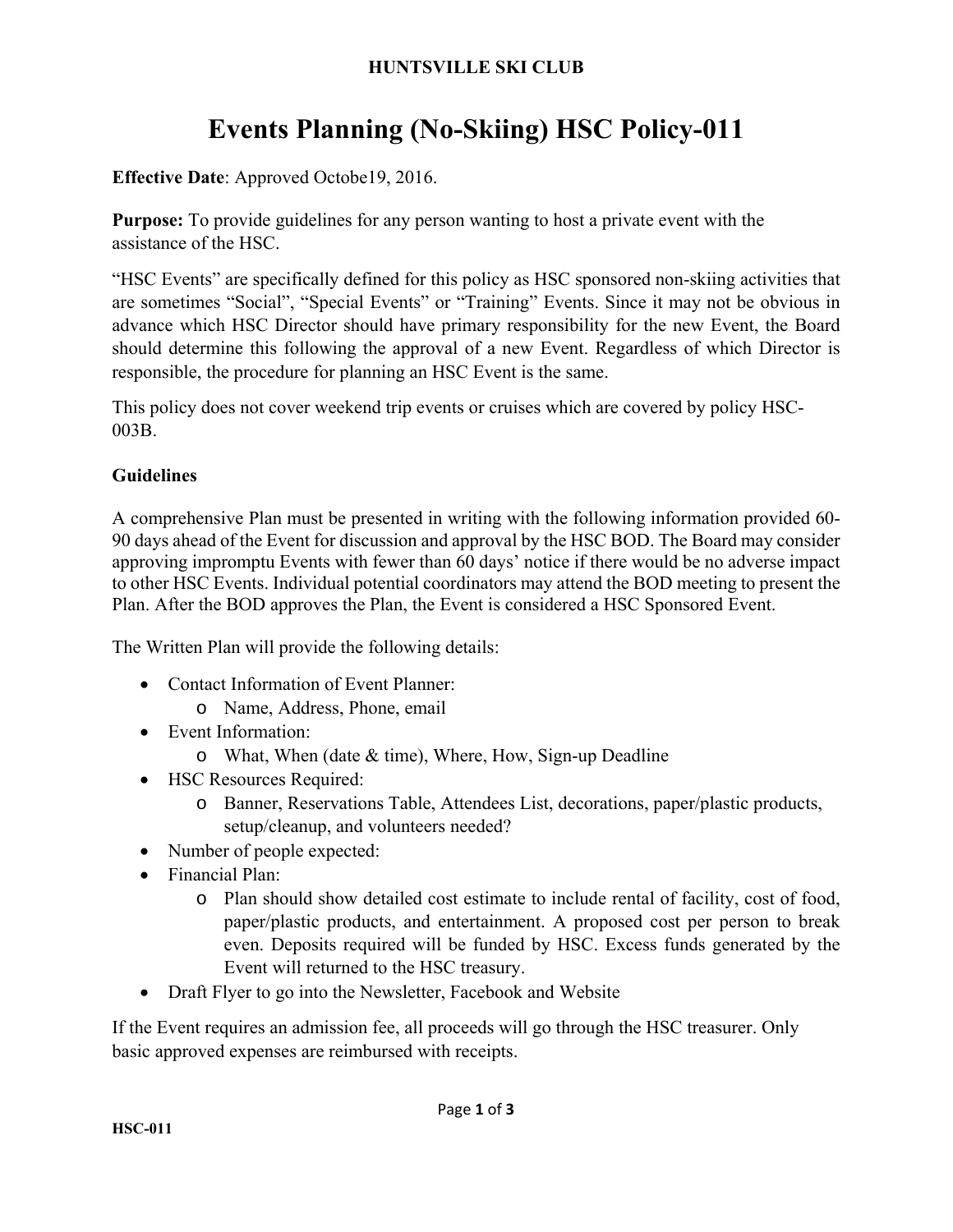#### **HUNTSVILLE SKI CLUB**

# **Events Planning (No-Skiing) HSC Policy-011**

**Effective Date**: Approved Octobe19, 2016.

**Purpose:** To provide guidelines for any person wanting to host a private event with the assistance of the HSC.

"HSC Events" are specifically defined for this policy as HSC sponsored non-skiing activities that are sometimes "Social", "Special Events" or "Training" Events. Since it may not be obvious in advance which HSC Director should have primary responsibility for the new Event, the Board should determine this following the approval of a new Event. Regardless of which Director is responsible, the procedure for planning an HSC Event is the same.

This policy does not cover weekend trip events or cruises which are covered by policy HSC-003B.

#### **Guidelines**

A comprehensive Plan must be presented in writing with the following information provided 60- 90 days ahead of the Event for discussion and approval by the HSC BOD. The Board may consider approving impromptu Events with fewer than 60 days' notice if there would be no adverse impact to other HSC Events. Individual potential coordinators may attend the BOD meeting to present the Plan. After the BOD approves the Plan, the Event is considered a HSC Sponsored Event.

The Written Plan will provide the following details:

- Contact Information of Event Planner:
	- o Name, Address, Phone, email
- Event Information:
	- o What, When (date & time), Where, How, Sign-up Deadline
- HSC Resources Required:
	- o Banner, Reservations Table, Attendees List, decorations, paper/plastic products, setup/cleanup, and volunteers needed?
- Number of people expected:
- Financial Plan:
	- o Plan should show detailed cost estimate to include rental of facility, cost of food, paper/plastic products, and entertainment. A proposed cost per person to break even. Deposits required will be funded by HSC. Excess funds generated by the Event will returned to the HSC treasury.
- Draft Flyer to go into the Newsletter, Facebook and Website

If the Event requires an admission fee, all proceeds will go through the HSC treasurer. Only basic approved expenses are reimbursed with receipts.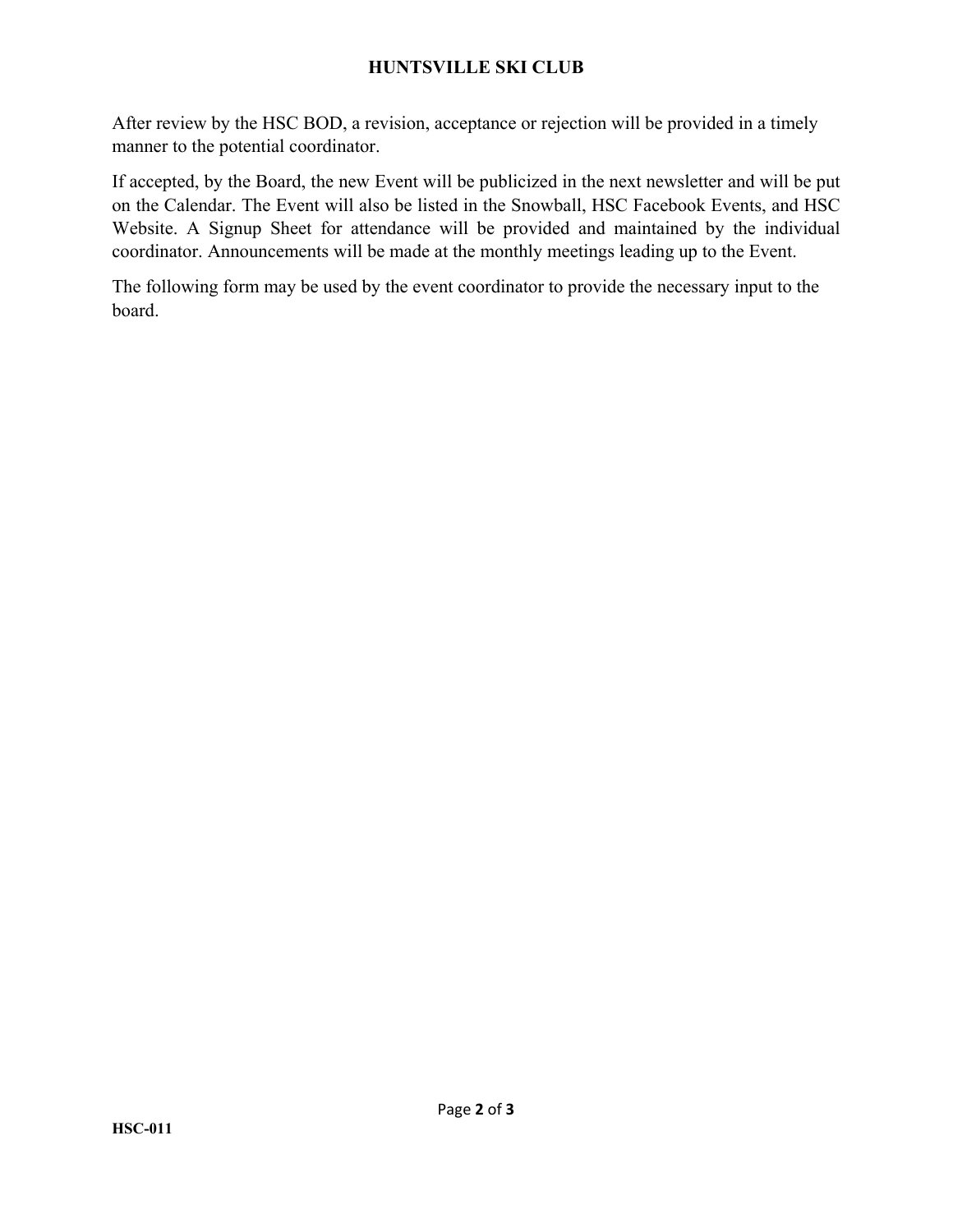#### **HUNTSVILLE SKI CLUB**

After review by the HSC BOD, a revision, acceptance or rejection will be provided in a timely manner to the potential coordinator.

If accepted, by the Board, the new Event will be publicized in the next newsletter and will be put on the Calendar. The Event will also be listed in the Snowball, HSC Facebook Events, and HSC Website. A Signup Sheet for attendance will be provided and maintained by the individual coordinator. Announcements will be made at the monthly meetings leading up to the Event.

The following form may be used by the event coordinator to provide the necessary input to the board.